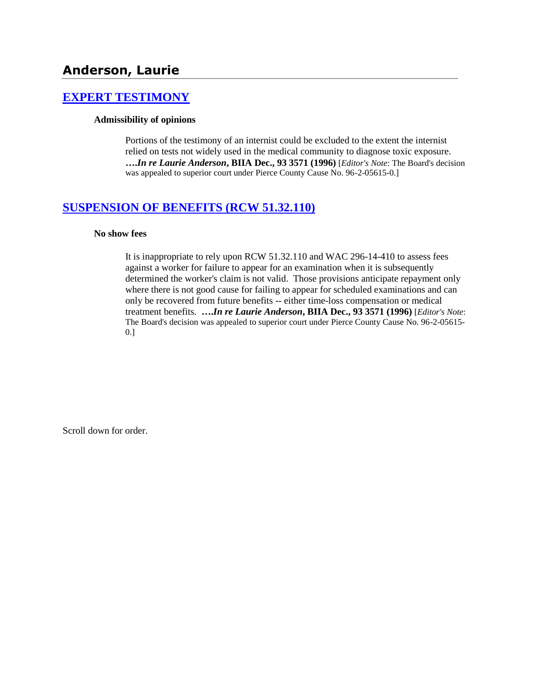# **Anderson, Laurie**

## **[EXPERT TESTIMONY](http://www.biia.wa.gov/SDSubjectIndex.html#EXPERT_TESTIMONY)**

### **Admissibility of opinions**

Portions of the testimony of an internist could be excluded to the extent the internist relied on tests not widely used in the medical community to diagnose toxic exposure. **….***In re Laurie Anderson***, BIIA Dec., 93 3571 (1996)** [*Editor's Note*: The Board's decision was appealed to superior court under Pierce County Cause No. 96-2-05615-0.]

## **[SUSPENSION OF BENEFITS \(RCW 51.32.110\)](http://www.biia.wa.gov/SDSubjectIndex.html#SUSPENSION_OF_BENEFITS)**

### **No show fees**

It is inappropriate to rely upon RCW 51.32.110 and WAC 296-14-410 to assess fees against a worker for failure to appear for an examination when it is subsequently determined the worker's claim is not valid. Those provisions anticipate repayment only where there is not good cause for failing to appear for scheduled examinations and can only be recovered from future benefits -- either time-loss compensation or medical treatment benefits. **….***In re Laurie Anderson***, BIIA Dec., 93 3571 (1996)** [*Editor's Note*: The Board's decision was appealed to superior court under Pierce County Cause No. 96-2-05615- 0.]

Scroll down for order.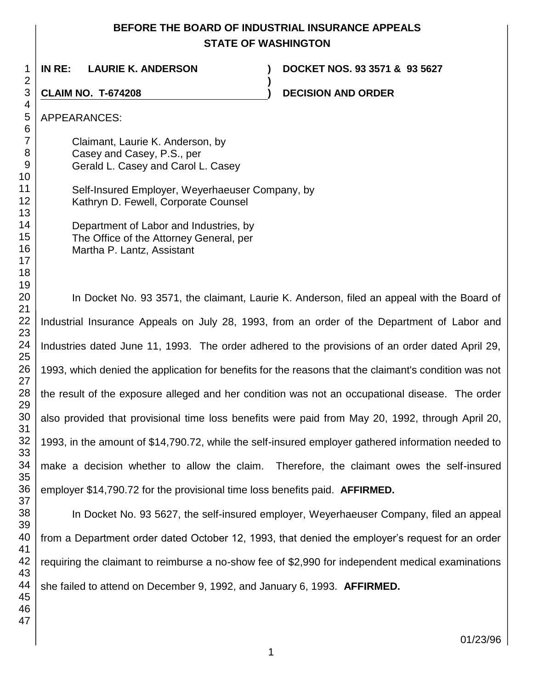# **BEFORE THE BOARD OF INDUSTRIAL INSURANCE APPEALS STATE OF WASHINGTON**

**)**

**IN RE: LAURIE K. ANDERSON ) DOCKET NOS. 93 3571 & 93 5627**

**CLAIM NO. T-674208 ) DECISION AND ORDER** 

# APPEARANCES:

Claimant, Laurie K. Anderson, by Casey and Casey, P.S., per Gerald L. Casey and Carol L. Casey

Self-Insured Employer, Weyerhaeuser Company, by Kathryn D. Fewell, Corporate Counsel

> Department of Labor and Industries, by The Office of the Attorney General, per Martha P. Lantz, Assistant

In Docket No. 93 3571, the claimant, Laurie K. Anderson, filed an appeal with the Board of Industrial Insurance Appeals on July 28, 1993, from an order of the Department of Labor and Industries dated June 11, 1993. The order adhered to the provisions of an order dated April 29, 1993, which denied the application for benefits for the reasons that the claimant's condition was not the result of the exposure alleged and her condition was not an occupational disease. The order also provided that provisional time loss benefits were paid from May 20, 1992, through April 20, 1993, in the amount of \$14,790.72, while the self-insured employer gathered information needed to make a decision whether to allow the claim. Therefore, the claimant owes the self-insured employer \$14,790.72 for the provisional time loss benefits paid. **AFFIRMED.**

In Docket No. 93 5627, the self-insured employer, Weyerhaeuser Company, filed an appeal from a Department order dated October 12, 1993, that denied the employer's request for an order requiring the claimant to reimburse a no-show fee of \$2,990 for independent medical examinations she failed to attend on December 9, 1992, and January 6, 1993. **AFFIRMED.**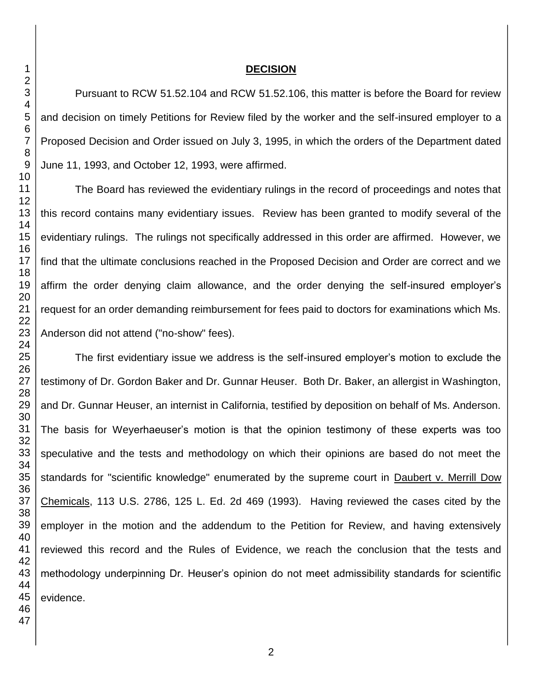### **DECISION**

Pursuant to RCW 51.52.104 and RCW 51.52.106, this matter is before the Board for review and decision on timely Petitions for Review filed by the worker and the self-insured employer to a Proposed Decision and Order issued on July 3, 1995, in which the orders of the Department dated June 11, 1993, and October 12, 1993, were affirmed.

The Board has reviewed the evidentiary rulings in the record of proceedings and notes that this record contains many evidentiary issues. Review has been granted to modify several of the evidentiary rulings. The rulings not specifically addressed in this order are affirmed. However, we find that the ultimate conclusions reached in the Proposed Decision and Order are correct and we affirm the order denying claim allowance, and the order denying the self-insured employer's request for an order demanding reimbursement for fees paid to doctors for examinations which Ms. Anderson did not attend ("no-show" fees).

The first evidentiary issue we address is the self-insured employer's motion to exclude the testimony of Dr. Gordon Baker and Dr. Gunnar Heuser. Both Dr. Baker, an allergist in Washington, and Dr. Gunnar Heuser, an internist in California, testified by deposition on behalf of Ms. Anderson. The basis for Weyerhaeuser's motion is that the opinion testimony of these experts was too speculative and the tests and methodology on which their opinions are based do not meet the standards for "scientific knowledge" enumerated by the supreme court in Daubert v. Merrill Dow Chemicals, 113 U.S. 2786, 125 L. Ed. 2d 469 (1993). Having reviewed the cases cited by the employer in the motion and the addendum to the Petition for Review, and having extensively reviewed this record and the Rules of Evidence, we reach the conclusion that the tests and methodology underpinning Dr. Heuser's opinion do not meet admissibility standards for scientific evidence.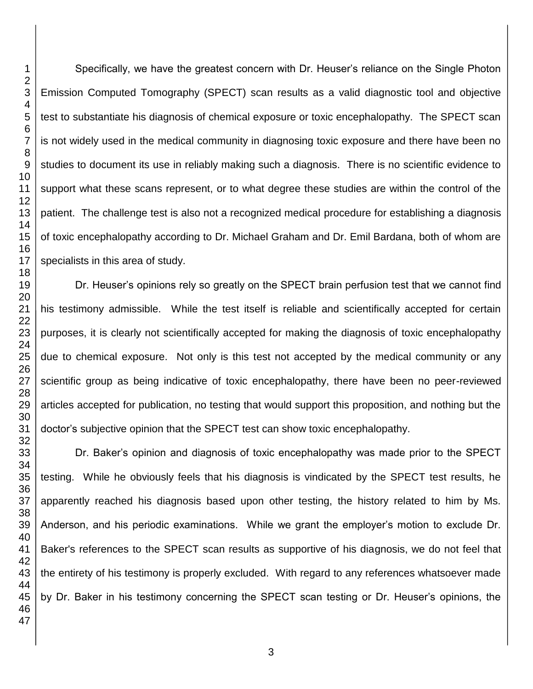Specifically, we have the greatest concern with Dr. Heuser's reliance on the Single Photon Emission Computed Tomography (SPECT) scan results as a valid diagnostic tool and objective test to substantiate his diagnosis of chemical exposure or toxic encephalopathy. The SPECT scan is not widely used in the medical community in diagnosing toxic exposure and there have been no studies to document its use in reliably making such a diagnosis. There is no scientific evidence to support what these scans represent, or to what degree these studies are within the control of the patient. The challenge test is also not a recognized medical procedure for establishing a diagnosis of toxic encephalopathy according to Dr. Michael Graham and Dr. Emil Bardana, both of whom are specialists in this area of study.

Dr. Heuser's opinions rely so greatly on the SPECT brain perfusion test that we cannot find his testimony admissible. While the test itself is reliable and scientifically accepted for certain purposes, it is clearly not scientifically accepted for making the diagnosis of toxic encephalopathy due to chemical exposure. Not only is this test not accepted by the medical community or any scientific group as being indicative of toxic encephalopathy, there have been no peer-reviewed articles accepted for publication, no testing that would support this proposition, and nothing but the doctor's subjective opinion that the SPECT test can show toxic encephalopathy.

Dr. Baker's opinion and diagnosis of toxic encephalopathy was made prior to the SPECT testing. While he obviously feels that his diagnosis is vindicated by the SPECT test results, he apparently reached his diagnosis based upon other testing, the history related to him by Ms. Anderson, and his periodic examinations. While we grant the employer's motion to exclude Dr. Baker's references to the SPECT scan results as supportive of his diagnosis, we do not feel that the entirety of his testimony is properly excluded. With regard to any references whatsoever made by Dr. Baker in his testimony concerning the SPECT scan testing or Dr. Heuser's opinions, the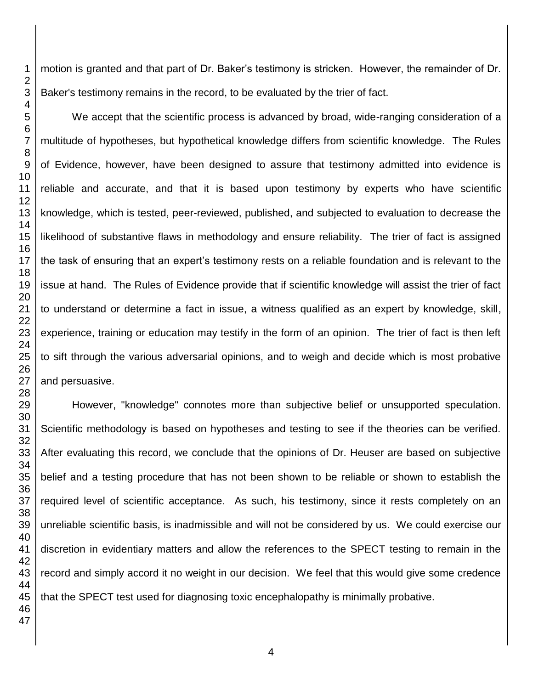motion is granted and that part of Dr. Baker's testimony is stricken. However, the remainder of Dr. Baker's testimony remains in the record, to be evaluated by the trier of fact.

We accept that the scientific process is advanced by broad, wide-ranging consideration of a multitude of hypotheses, but hypothetical knowledge differs from scientific knowledge. The Rules of Evidence, however, have been designed to assure that testimony admitted into evidence is reliable and accurate, and that it is based upon testimony by experts who have scientific knowledge, which is tested, peer-reviewed, published, and subjected to evaluation to decrease the likelihood of substantive flaws in methodology and ensure reliability. The trier of fact is assigned the task of ensuring that an expert's testimony rests on a reliable foundation and is relevant to the issue at hand. The Rules of Evidence provide that if scientific knowledge will assist the trier of fact to understand or determine a fact in issue, a witness qualified as an expert by knowledge, skill, experience, training or education may testify in the form of an opinion. The trier of fact is then left to sift through the various adversarial opinions, and to weigh and decide which is most probative and persuasive.

However, "knowledge" connotes more than subjective belief or unsupported speculation. Scientific methodology is based on hypotheses and testing to see if the theories can be verified. After evaluating this record, we conclude that the opinions of Dr. Heuser are based on subjective belief and a testing procedure that has not been shown to be reliable or shown to establish the required level of scientific acceptance. As such, his testimony, since it rests completely on an unreliable scientific basis, is inadmissible and will not be considered by us. We could exercise our discretion in evidentiary matters and allow the references to the SPECT testing to remain in the record and simply accord it no weight in our decision. We feel that this would give some credence that the SPECT test used for diagnosing toxic encephalopathy is minimally probative.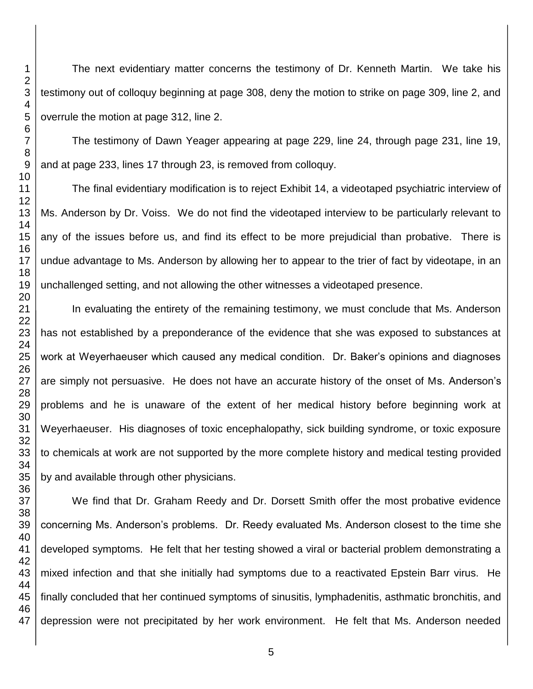The next evidentiary matter concerns the testimony of Dr. Kenneth Martin. We take his testimony out of colloquy beginning at page 308, deny the motion to strike on page 309, line 2, and overrule the motion at page 312, line 2.

The testimony of Dawn Yeager appearing at page 229, line 24, through page 231, line 19, and at page 233, lines 17 through 23, is removed from colloquy.

The final evidentiary modification is to reject Exhibit 14, a videotaped psychiatric interview of Ms. Anderson by Dr. Voiss. We do not find the videotaped interview to be particularly relevant to any of the issues before us, and find its effect to be more prejudicial than probative. There is undue advantage to Ms. Anderson by allowing her to appear to the trier of fact by videotape, in an unchallenged setting, and not allowing the other witnesses a videotaped presence.

In evaluating the entirety of the remaining testimony, we must conclude that Ms. Anderson has not established by a preponderance of the evidence that she was exposed to substances at work at Weyerhaeuser which caused any medical condition. Dr. Baker's opinions and diagnoses are simply not persuasive. He does not have an accurate history of the onset of Ms. Anderson's problems and he is unaware of the extent of her medical history before beginning work at Weyerhaeuser. His diagnoses of toxic encephalopathy, sick building syndrome, or toxic exposure to chemicals at work are not supported by the more complete history and medical testing provided by and available through other physicians.

We find that Dr. Graham Reedy and Dr. Dorsett Smith offer the most probative evidence concerning Ms. Anderson's problems. Dr. Reedy evaluated Ms. Anderson closest to the time she developed symptoms. He felt that her testing showed a viral or bacterial problem demonstrating a mixed infection and that she initially had symptoms due to a reactivated Epstein Barr virus. He finally concluded that her continued symptoms of sinusitis, lymphadenitis, asthmatic bronchitis, and depression were not precipitated by her work environment. He felt that Ms. Anderson needed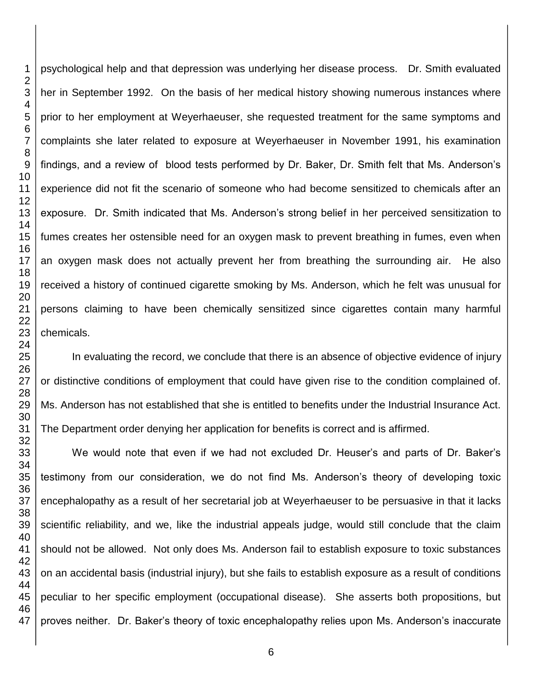psychological help and that depression was underlying her disease process. Dr. Smith evaluated her in September 1992. On the basis of her medical history showing numerous instances where prior to her employment at Weyerhaeuser, she requested treatment for the same symptoms and complaints she later related to exposure at Weyerhaeuser in November 1991, his examination findings, and a review of blood tests performed by Dr. Baker, Dr. Smith felt that Ms. Anderson's experience did not fit the scenario of someone who had become sensitized to chemicals after an exposure. Dr. Smith indicated that Ms. Anderson's strong belief in her perceived sensitization to fumes creates her ostensible need for an oxygen mask to prevent breathing in fumes, even when an oxygen mask does not actually prevent her from breathing the surrounding air. He also received a history of continued cigarette smoking by Ms. Anderson, which he felt was unusual for persons claiming to have been chemically sensitized since cigarettes contain many harmful chemicals.

In evaluating the record, we conclude that there is an absence of objective evidence of injury or distinctive conditions of employment that could have given rise to the condition complained of. Ms. Anderson has not established that she is entitled to benefits under the Industrial Insurance Act. The Department order denying her application for benefits is correct and is affirmed.

We would note that even if we had not excluded Dr. Heuser's and parts of Dr. Baker's testimony from our consideration, we do not find Ms. Anderson's theory of developing toxic encephalopathy as a result of her secretarial job at Weyerhaeuser to be persuasive in that it lacks scientific reliability, and we, like the industrial appeals judge, would still conclude that the claim should not be allowed. Not only does Ms. Anderson fail to establish exposure to toxic substances on an accidental basis (industrial injury), but she fails to establish exposure as a result of conditions peculiar to her specific employment (occupational disease). She asserts both propositions, but proves neither. Dr. Baker's theory of toxic encephalopathy relies upon Ms. Anderson's inaccurate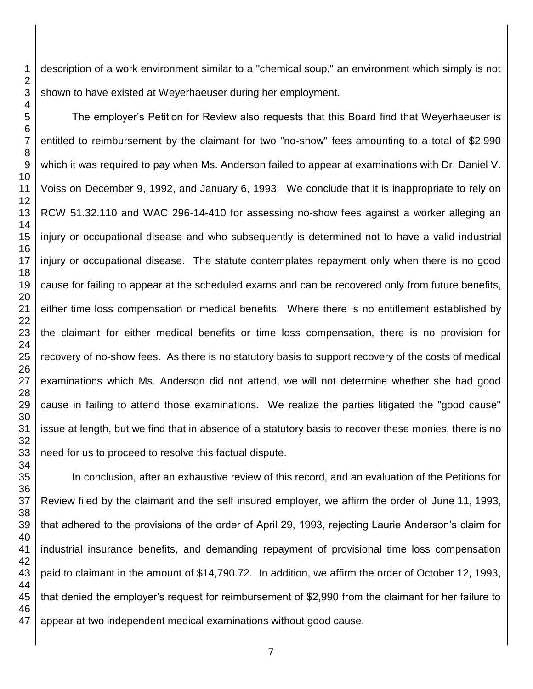description of a work environment similar to a "chemical soup," an environment which simply is not shown to have existed at Weyerhaeuser during her employment.

The employer's Petition for Review also requests that this Board find that Weyerhaeuser is entitled to reimbursement by the claimant for two "no-show" fees amounting to a total of \$2,990 which it was required to pay when Ms. Anderson failed to appear at examinations with Dr. Daniel V. Voiss on December 9, 1992, and January 6, 1993. We conclude that it is inappropriate to rely on RCW 51.32.110 and WAC 296-14-410 for assessing no-show fees against a worker alleging an injury or occupational disease and who subsequently is determined not to have a valid industrial injury or occupational disease. The statute contemplates repayment only when there is no good cause for failing to appear at the scheduled exams and can be recovered only from future benefits, either time loss compensation or medical benefits. Where there is no entitlement established by the claimant for either medical benefits or time loss compensation, there is no provision for recovery of no-show fees. As there is no statutory basis to support recovery of the costs of medical examinations which Ms. Anderson did not attend, we will not determine whether she had good cause in failing to attend those examinations. We realize the parties litigated the "good cause" issue at length, but we find that in absence of a statutory basis to recover these monies, there is no need for us to proceed to resolve this factual dispute.

In conclusion, after an exhaustive review of this record, and an evaluation of the Petitions for Review filed by the claimant and the self insured employer, we affirm the order of June 11, 1993, that adhered to the provisions of the order of April 29, 1993, rejecting Laurie Anderson's claim for industrial insurance benefits, and demanding repayment of provisional time loss compensation paid to claimant in the amount of \$14,790.72. In addition, we affirm the order of October 12, 1993, that denied the employer's request for reimbursement of \$2,990 from the claimant for her failure to appear at two independent medical examinations without good cause.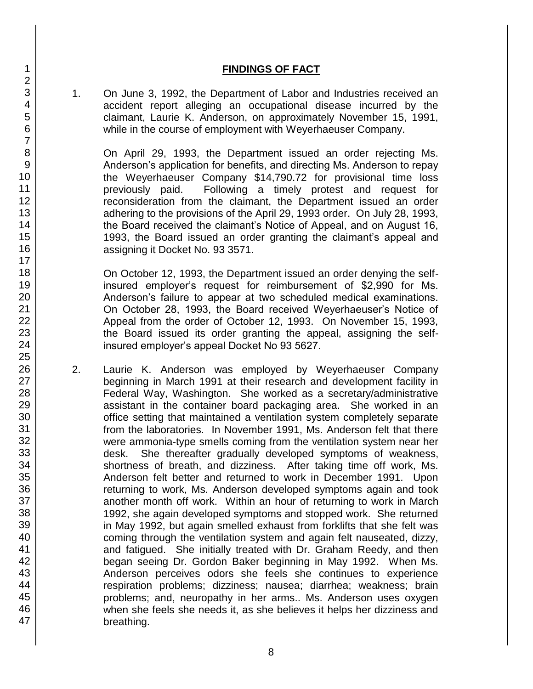### **FINDINGS OF FACT**

1. On June 3, 1992, the Department of Labor and Industries received an accident report alleging an occupational disease incurred by the claimant, Laurie K. Anderson, on approximately November 15, 1991, while in the course of employment with Weyerhaeuser Company.

On April 29, 1993, the Department issued an order rejecting Ms. Anderson's application for benefits, and directing Ms. Anderson to repay the Weyerhaeuser Company \$14,790.72 for provisional time loss previously paid. Following a timely protest and request for reconsideration from the claimant, the Department issued an order adhering to the provisions of the April 29, 1993 order. On July 28, 1993, the Board received the claimant's Notice of Appeal, and on August 16, 1993, the Board issued an order granting the claimant's appeal and assigning it Docket No. 93 3571.

On October 12, 1993, the Department issued an order denying the selfinsured employer's request for reimbursement of \$2,990 for Ms. Anderson's failure to appear at two scheduled medical examinations. On October 28, 1993, the Board received Weyerhaeuser's Notice of Appeal from the order of October 12, 1993. On November 15, 1993, the Board issued its order granting the appeal, assigning the selfinsured employer's appeal Docket No 93 5627.

2. Laurie K. Anderson was employed by Weyerhaeuser Company beginning in March 1991 at their research and development facility in Federal Way, Washington. She worked as a secretary/administrative assistant in the container board packaging area. She worked in an office setting that maintained a ventilation system completely separate from the laboratories. In November 1991, Ms. Anderson felt that there were ammonia-type smells coming from the ventilation system near her desk. She thereafter gradually developed symptoms of weakness, shortness of breath, and dizziness. After taking time off work, Ms. Anderson felt better and returned to work in December 1991. Upon returning to work, Ms. Anderson developed symptoms again and took another month off work. Within an hour of returning to work in March 1992, she again developed symptoms and stopped work. She returned in May 1992, but again smelled exhaust from forklifts that she felt was coming through the ventilation system and again felt nauseated, dizzy, and fatigued. She initially treated with Dr. Graham Reedy, and then began seeing Dr. Gordon Baker beginning in May 1992. When Ms. Anderson perceives odors she feels she continues to experience respiration problems; dizziness; nausea; diarrhea; weakness; brain problems; and, neuropathy in her arms.. Ms. Anderson uses oxygen when she feels she needs it, as she believes it helps her dizziness and breathing.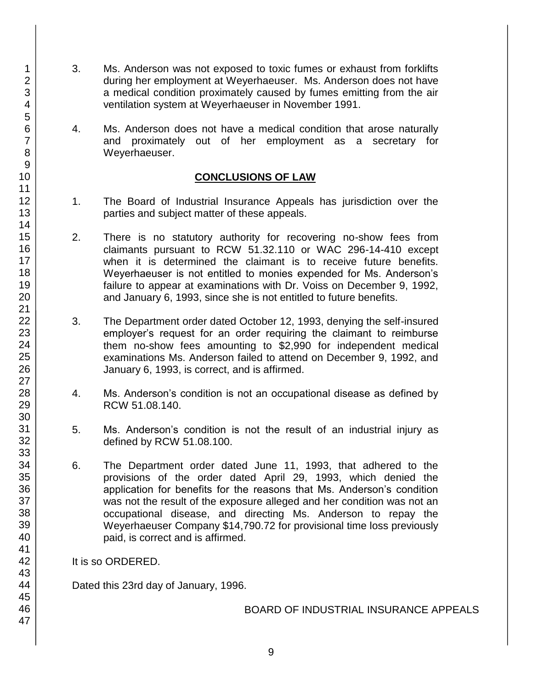- 3. Ms. Anderson was not exposed to toxic fumes or exhaust from forklifts during her employment at Weyerhaeuser. Ms. Anderson does not have a medical condition proximately caused by fumes emitting from the air ventilation system at Weyerhaeuser in November 1991.
- 4. Ms. Anderson does not have a medical condition that arose naturally and proximately out of her employment as a secretary for Weyerhaeuser.

## **CONCLUSIONS OF LAW**

- 1. The Board of Industrial Insurance Appeals has jurisdiction over the parties and subject matter of these appeals.
- 2. There is no statutory authority for recovering no-show fees from claimants pursuant to RCW 51.32.110 or WAC 296-14-410 except when it is determined the claimant is to receive future benefits. Weyerhaeuser is not entitled to monies expended for Ms. Anderson's failure to appear at examinations with Dr. Voiss on December 9, 1992, and January 6, 1993, since she is not entitled to future benefits.
- 3. The Department order dated October 12, 1993, denying the self-insured employer's request for an order requiring the claimant to reimburse them no-show fees amounting to \$2,990 for independent medical examinations Ms. Anderson failed to attend on December 9, 1992, and January 6, 1993, is correct, and is affirmed.
- 4. Ms. Anderson's condition is not an occupational disease as defined by RCW 51.08.140.
- 5. Ms. Anderson's condition is not the result of an industrial injury as defined by RCW 51.08.100.
- 6. The Department order dated June 11, 1993, that adhered to the provisions of the order dated April 29, 1993, which denied the application for benefits for the reasons that Ms. Anderson's condition was not the result of the exposure alleged and her condition was not an occupational disease, and directing Ms. Anderson to repay the Weyerhaeuser Company \$14,790.72 for provisional time loss previously paid, is correct and is affirmed.

### It is so ORDERED.

Dated this 23rd day of January, 1996.

BOARD OF INDUSTRIAL INSURANCE APPEALS